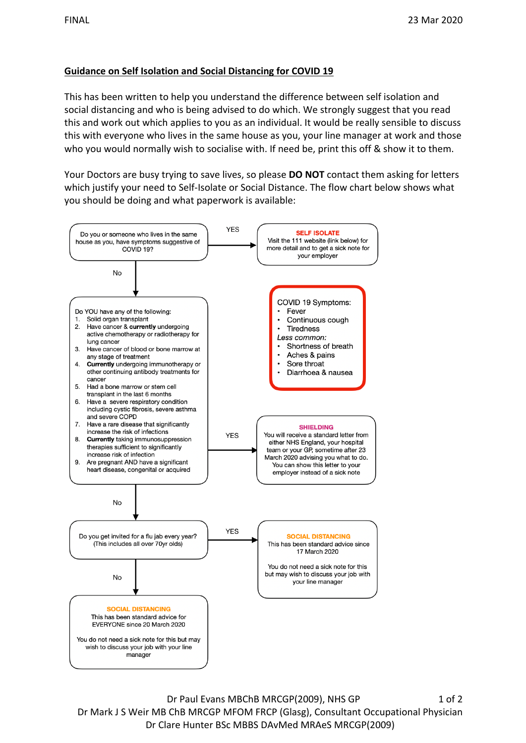## **Guidance on Self Isolation and Social Distancing for COVID 19**

This has been written to help you understand the difference between self isolation and social distancing and who is being advised to do which. We strongly suggest that you read this and work out which applies to you as an individual. It would be really sensible to discuss this with everyone who lives in the same house as you, your line manager at work and those who you would normally wish to socialise with. If need be, print this off & show it to them.

 you should be doing and what paperwork is available: Your Doctors are busy trying to save lives, so please **DO NOT** contact them asking for letters which justify your need to Self-Isolate or Social Distance. The flow chart below shows what



Dr Paul Evans MBChB MRCGP(2009), NHS GP 1 of 2 Dr Mark J S Weir MB ChB MRCGP MFOM FRCP (Glasg), Consultant Occupational Physician Dr Clare Hunter BSc MBBS DAvMed MRAeS MRCGP(2009)